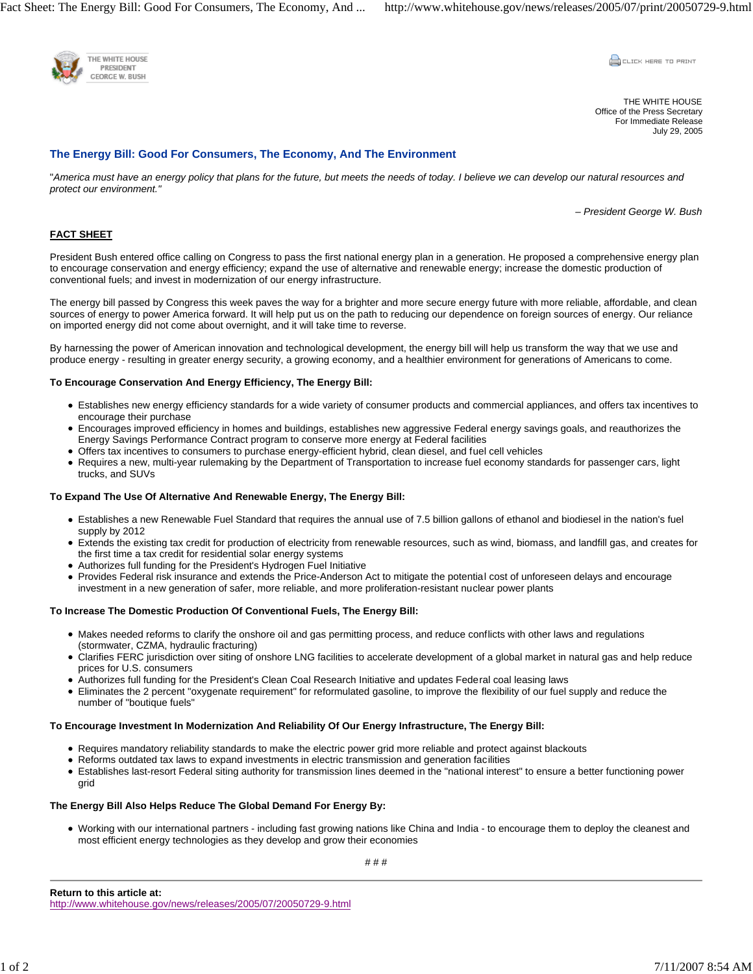

**CONTROLLICK HERE TO PRINT** 

THE WHITE HOUSE Office of the Press Secretary For Immediate Release July 29, 2005

## **The Energy Bill: Good For Consumers, The Economy, And The Environment**

"*America must have an energy policy that plans for the future, but meets the needs of today. I believe we can develop our natural resources and protect our environment."* 

*– President George W. Bush*

# **FACT SHEET**

President Bush entered office calling on Congress to pass the first national energy plan in a generation. He proposed a comprehensive energy plan to encourage conservation and energy efficiency; expand the use of alternative and renewable energy; increase the domestic production of conventional fuels; and invest in modernization of our energy infrastructure.

The energy bill passed by Congress this week paves the way for a brighter and more secure energy future with more reliable, affordable, and clean sources of energy to power America forward. It will help put us on the path to reducing our dependence on foreign sources of energy. Our reliance on imported energy did not come about overnight, and it will take time to reverse.

By harnessing the power of American innovation and technological development, the energy bill will help us transform the way that we use and produce energy - resulting in greater energy security, a growing economy, and a healthier environment for generations of Americans to come.

## **To Encourage Conservation And Energy Efficiency, The Energy Bill:**

- Establishes new energy efficiency standards for a wide variety of consumer products and commercial appliances, and offers tax incentives to encourage their purchase
- Encourages improved efficiency in homes and buildings, establishes new aggressive Federal energy savings goals, and reauthorizes the Energy Savings Performance Contract program to conserve more energy at Federal facilities
- Offers tax incentives to consumers to purchase energy-efficient hybrid, clean diesel, and fuel cell vehicles
- Requires a new, multi-year rulemaking by the Department of Transportation to increase fuel economy standards for passenger cars, light trucks, and SUVs

## **To Expand The Use Of Alternative And Renewable Energy, The Energy Bill:**

- Establishes a new Renewable Fuel Standard that requires the annual use of 7.5 billion gallons of ethanol and biodiesel in the nation's fuel supply by 2012
- Extends the existing tax credit for production of electricity from renewable resources, such as wind, biomass, and landfill gas, and creates for the first time a tax credit for residential solar energy systems
- Authorizes full funding for the President's Hydrogen Fuel Initiative
- Provides Federal risk insurance and extends the Price-Anderson Act to mitigate the potential cost of unforeseen delays and encourage investment in a new generation of safer, more reliable, and more proliferation-resistant nuclear power plants

#### **To Increase The Domestic Production Of Conventional Fuels, The Energy Bill:**

- Makes needed reforms to clarify the onshore oil and gas permitting process, and reduce conflicts with other laws and regulations (stormwater, CZMA, hydraulic fracturing)
- Clarifies FERC jurisdiction over siting of onshore LNG facilities to accelerate development of a global market in natural gas and help reduce prices for U.S. consumers
- Authorizes full funding for the President's Clean Coal Research Initiative and updates Federal coal leasing laws
- Eliminates the 2 percent "oxygenate requirement" for reformulated gasoline, to improve the flexibility of our fuel supply and reduce the number of "boutique fuels"

#### **To Encourage Investment In Modernization And Reliability Of Our Energy Infrastructure, The Energy Bill:**

- Requires mandatory reliability standards to make the electric power grid more reliable and protect against blackouts
- Reforms outdated tax laws to expand investments in electric transmission and generation facilities
- Establishes last-resort Federal siting authority for transmission lines deemed in the "national interest" to ensure a better functioning power grid

#### **The Energy Bill Also Helps Reduce The Global Demand For Energy By:**

Working with our international partners - including fast growing nations like China and India - to encourage them to deploy the cleanest and most efficient energy technologies as they develop and grow their economies